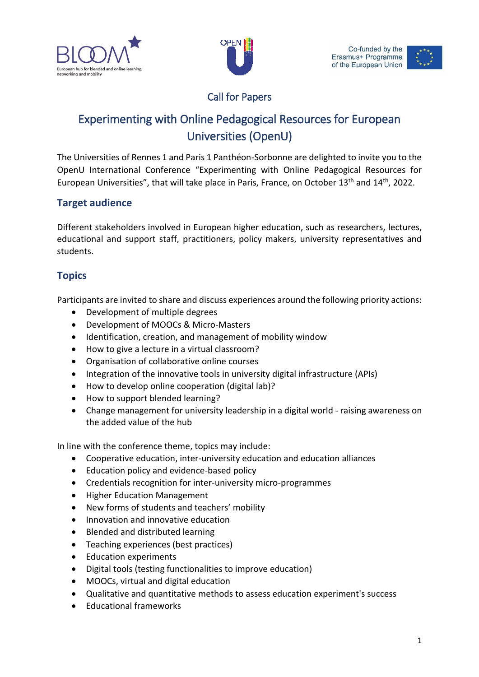



# Call for Papers

# Experimenting with Online Pedagogical Resources for European Universities (OpenU)

The Universities of Rennes 1 and Paris 1 Panthéon-Sorbonne are delighted to invite you to the OpenU International Conference "Experimenting with Online Pedagogical Resources for European Universities", that will take place in Paris, France, on October 13<sup>th</sup> and 14<sup>th</sup>, 2022.

## **Target audience**

Different stakeholders involved in European higher education, such as researchers, lectures, educational and support staff, practitioners, policy makers, university representatives and students.

# **Topics**

Participants are invited to share and discuss experiences around the following priority actions:

- Development of multiple degrees
- Development of MOOCs & Micro-Masters
- Identification, creation, and management of mobility window
- How to give a lecture in a virtual classroom?
- Organisation of collaborative online courses
- Integration of the innovative tools in university digital infrastructure (APIs)
- How to develop online cooperation (digital lab)?
- How to support blended learning?
- Change management for university leadership in a digital world raising awareness on the added value of the hub

In line with the conference theme, topics may include:

- Cooperative education, inter-university education and education alliances
- Education policy and evidence-based policy
- Credentials recognition for inter-university micro-programmes
- Higher Education Management
- New forms of students and teachers' mobility
- Innovation and innovative education
- Blended and distributed learning
- Teaching experiences (best practices)
- Education experiments
- Digital tools (testing functionalities to improve education)
- MOOCs, virtual and digital education
- Qualitative and quantitative methods to assess education experiment's success
- Educational frameworks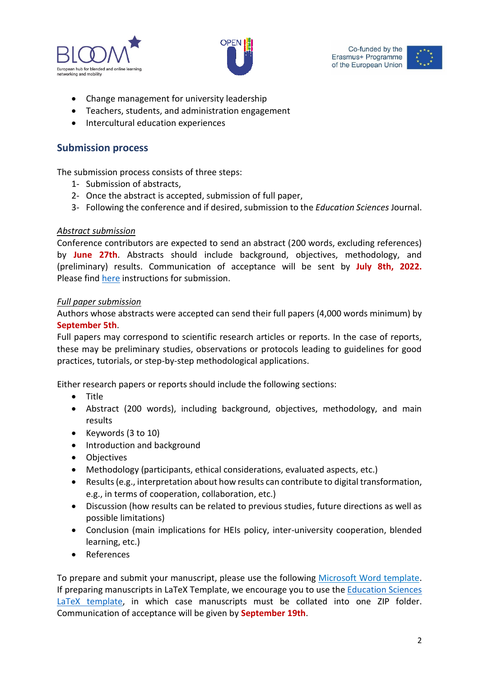





- Change management for university leadership
- Teachers, students, and administration engagement
- Intercultural education experiences

## **Submission process**

The submission process consists of three steps:

- 1- Submission of abstracts,
- 2- Once the abstract is accepted, submission of full paper,
- 3- Following the conference and if desired, submission to the *Education Sciences* Journal.

#### *Abstract submission*

Conference contributors are expected to send an abstract (200 words, excluding references) by **June 27th**. Abstracts should include background, objectives, methodology, and (preliminary) results. Communication of acceptance will be sent by **July 8th, 2022.** Please fin[d here](https://www.mdpi.com/authors/layout#_bookmark5) instructions for submission.

#### *Full paper submission*

Authors whose abstracts were accepted can send their full papers (4,000 words minimum) by **September 5th**.

Full papers may correspond to scientific research articles or reports. In the case of reports, these may be preliminary studies, observations or protocols leading to guidelines for good practices, tutorials, or step-by-step methodological applications.

Either research papers or reports should include the following sections:

- Title
- Abstract (200 words), including background, objectives, methodology, and main results
- Keywords (3 to 10)
- Introduction and background
- Objectives
- Methodology (participants, ethical considerations, evaluated aspects, etc.)
- Results (e.g., interpretation about how results can contribute to digital transformation, e.g., in terms of cooperation, collaboration, etc.)
- Discussion (how results can be related to previous studies, future directions as well as possible limitations)
- Conclusion (main implications for HEIs policy, inter-university cooperation, blended learning, etc.)
- References

To prepare and submit your manuscript, please use the following [Microsoft Word template.](https://view.officeapps.live.com/op/view.aspx?src=https%3A%2F%2Fwww.mdpi.com%2Ffiles%2Fword-templates%2Feducation-template.dot&wdOrigin=BROWSELINK) If preparing manuscripts in LaTeX Template, we encourage you to use th[e Education Sciences](https://www.mdpi.com/data/MDPI_template.zip?v=20220426)  [LaTeX template,](https://www.mdpi.com/data/MDPI_template.zip?v=20220426) in which case manuscripts must be collated into one ZIP folder. Communication of acceptance will be given by **September 19th**.